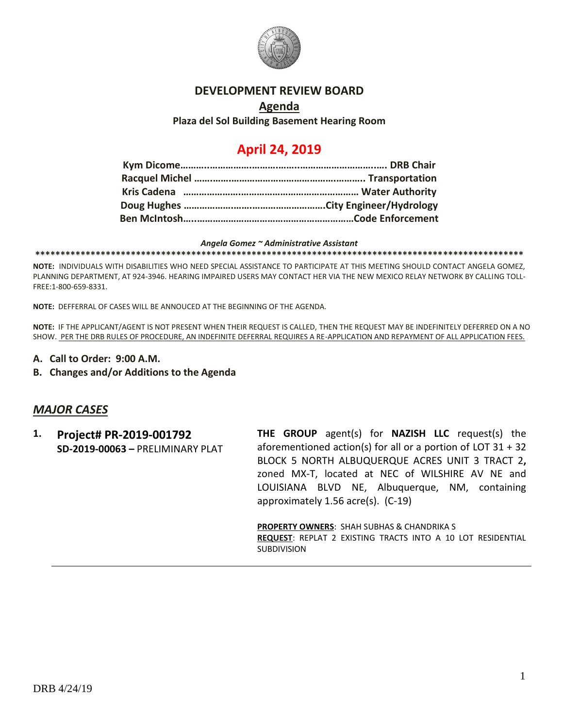

#### **DEVELOPMENT REVIEW BOARD**

### **Agenda Plaza del Sol Building Basement Hearing Room**

# **April 24, 2019**

#### *Angela Gomez ~ Administrative Assistant*

**\*\*\*\*\*\*\*\*\*\*\*\*\*\*\*\*\*\*\*\*\*\*\*\*\*\*\*\*\*\*\*\*\*\*\*\*\*\*\*\*\*\*\*\*\*\*\*\*\*\*\*\*\*\*\*\*\*\*\*\*\*\*\*\*\*\*\*\*\*\*\*\*\*\*\*\*\*\*\*\*\*\*\*\*\*\*\*\*\*\*\*\*\*\*\*\*\***

**NOTE:** INDIVIDUALS WITH DISABILITIES WHO NEED SPECIAL ASSISTANCE TO PARTICIPATE AT THIS MEETING SHOULD CONTACT ANGELA GOMEZ, PLANNING DEPARTMENT, AT 924-3946. HEARING IMPAIRED USERS MAY CONTACT HER VIA THE NEW MEXICO RELAY NETWORK BY CALLING TOLL-FREE:1-800-659-8331.

**NOTE:** DEFFERRAL OF CASES WILL BE ANNOUCED AT THE BEGINNING OF THE AGENDA.

**NOTE:** IF THE APPLICANT/AGENT IS NOT PRESENT WHEN THEIR REQUEST IS CALLED, THEN THE REQUEST MAY BE INDEFINITELY DEFERRED ON A NO SHOW. PER THE DRB RULES OF PROCEDURE, AN INDEFINITE DEFERRAL REQUIRES A RE-APPLICATION AND REPAYMENT OF ALL APPLICATION FEES.

- **A. Call to Order: 9:00 A.M.**
- **B. Changes and/or Additions to the Agenda**

#### *MAJOR CASES*

**1. Project# PR-2019-001792 SD-2019-00063 –** PRELIMINARY PLAT **THE GROUP** agent(s) for **NAZISH LLC** request(s) the aforementioned action(s) for all or a portion of LOT 31 + 32 BLOCK 5 NORTH ALBUQUERQUE ACRES UNIT 3 TRACT 2**,**  zoned MX-T, located at NEC of WILSHIRE AV NE and LOUISIANA BLVD NE, Albuquerque, NM, containing approximately 1.56 acre(s). (C-19)

**PROPERTY OWNERS**: SHAH SUBHAS & CHANDRIKA S **REQUEST**: REPLAT 2 EXISTING TRACTS INTO A 10 LOT RESIDENTIAL SUBDIVISION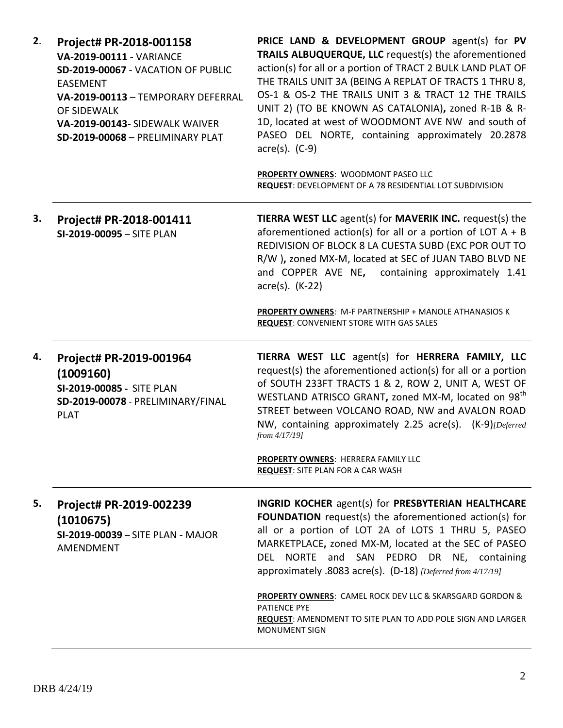| Project# PR-2018-001158<br>VA-2019-00111 - VARIANCE<br>SD-2019-00067 - VACATION OF PUBLIC<br><b>EASEMENT</b><br>VA-2019-00113 - TEMPORARY DEFERRAL<br>OF SIDEWALK<br>VA-2019-00143- SIDEWALK WAIVER<br>SD-2019-00068 - PRELIMINARY PLAT | PRICE LAND & DEVELOPMENT GROUP agent(s) for PV<br>TRAILS ALBUQUERQUE, LLC request(s) the aforementioned<br>action(s) for all or a portion of TRACT 2 BULK LAND PLAT OF<br>THE TRAILS UNIT 3A (BEING A REPLAT OF TRACTS 1 THRU 8,<br>OS-1 & OS-2 THE TRAILS UNIT 3 & TRACT 12 THE TRAILS<br>UNIT 2) (TO BE KNOWN AS CATALONIA), zoned R-1B & R-<br>1D, located at west of WOODMONT AVE NW and south of<br>PASEO DEL NORTE, containing approximately 20.2878<br>$\arccos 0$ . (C-9)<br>PROPERTY OWNERS: WOODMONT PASEO LLC                      |
|-----------------------------------------------------------------------------------------------------------------------------------------------------------------------------------------------------------------------------------------|-----------------------------------------------------------------------------------------------------------------------------------------------------------------------------------------------------------------------------------------------------------------------------------------------------------------------------------------------------------------------------------------------------------------------------------------------------------------------------------------------------------------------------------------------|
|                                                                                                                                                                                                                                         | REQUEST: DEVELOPMENT OF A 78 RESIDENTIAL LOT SUBDIVISION                                                                                                                                                                                                                                                                                                                                                                                                                                                                                      |
| Project# PR-2018-001411<br>SI-2019-00095 - SITE PLAN                                                                                                                                                                                    | <b>TIERRA WEST LLC</b> agent(s) for <b>MAVERIK INC.</b> request(s) the<br>aforementioned action(s) for all or a portion of LOT $A + B$<br>REDIVISION OF BLOCK 8 LA CUESTA SUBD (EXC POR OUT TO<br>R/W ), zoned MX-M, located at SEC of JUAN TABO BLVD NE<br>and COPPER AVE NE, containing approximately 1.41<br>$\arccos(5)$ . (K-22)                                                                                                                                                                                                         |
|                                                                                                                                                                                                                                         | PROPERTY OWNERS: M-F PARTNERSHIP + MANOLE ATHANASIOS K<br><b>REQUEST: CONVENIENT STORE WITH GAS SALES</b>                                                                                                                                                                                                                                                                                                                                                                                                                                     |
| Project# PR-2019-001964<br>(1009160)<br>SI-2019-00085 - SITE PLAN<br>SD-2019-00078 - PRELIMINARY/FINAL<br><b>PLAT</b>                                                                                                                   | TIERRA WEST LLC agent(s) for HERRERA FAMILY, LLC<br>request(s) the aforementioned action(s) for all or a portion<br>of SOUTH 233FT TRACTS 1 & 2, ROW 2, UNIT A, WEST OF<br>WESTLAND ATRISCO GRANT, zoned MX-M, located on 98 <sup>th</sup><br>STREET between VOLCANO ROAD, NW and AVALON ROAD<br>NW, containing approximately 2.25 acre(s). (K-9)[Deferred<br>from 4/17/19]                                                                                                                                                                   |
|                                                                                                                                                                                                                                         | PROPERTY OWNERS: HERRERA FAMILY LLC<br><b>REQUEST: SITE PLAN FOR A CAR WASH</b>                                                                                                                                                                                                                                                                                                                                                                                                                                                               |
| Project# PR-2019-002239<br>(1010675)<br>SI-2019-00039 - SITE PLAN - MAJOR<br><b>AMENDMENT</b>                                                                                                                                           | INGRID KOCHER agent(s) for PRESBYTERIAN HEALTHCARE<br><b>FOUNDATION</b> request(s) the aforementioned action(s) for<br>all or a portion of LOT 2A of LOTS 1 THRU 5, PASEO<br>MARKETPLACE, zoned MX-M, located at the SEC of PASEO<br>DEL NORTE and SAN PEDRO DR NE, containing<br>approximately .8083 acre(s). (D-18) [Deferred from 4/17/19]<br><b>PROPERTY OWNERS: CAMEL ROCK DEV LLC &amp; SKARSGARD GORDON &amp;</b><br><b>PATIENCE PYE</b><br><b>REQUEST: AMENDMENT TO SITE PLAN TO ADD POLE SIGN AND LARGER</b><br><b>MONUMENT SIGN</b> |
|                                                                                                                                                                                                                                         |                                                                                                                                                                                                                                                                                                                                                                                                                                                                                                                                               |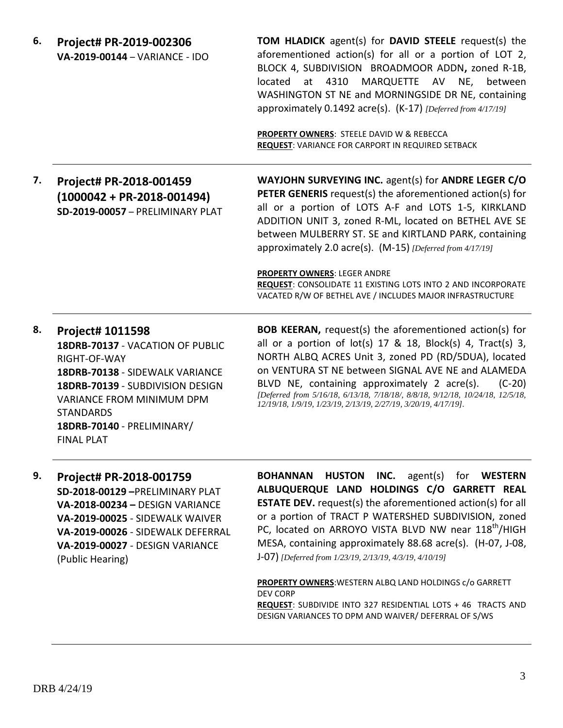| 6. | Project# PR-2019-002306<br>VA-2019-00144 - VARIANCE - IDO                                                                                                                                                                                              | <b>TOM HLADICK</b> agent(s) for <b>DAVID STEELE</b> request(s) the<br>aforementioned action(s) for all or a portion of LOT 2,<br>BLOCK 4, SUBDIVISION BROADMOOR ADDN, zoned R-1B,<br>located at 4310 MARQUETTE AV NE,<br>between<br>WASHINGTON ST NE and MORNINGSIDE DR NE, containing<br>approximately 0.1492 acre(s). (K-17) [Deferred from 4/17/19]<br>PROPERTY OWNERS: STEELE DAVID W & REBECCA<br>REQUEST: VARIANCE FOR CARPORT IN REQUIRED SETBACK                                                                          |
|----|--------------------------------------------------------------------------------------------------------------------------------------------------------------------------------------------------------------------------------------------------------|-----------------------------------------------------------------------------------------------------------------------------------------------------------------------------------------------------------------------------------------------------------------------------------------------------------------------------------------------------------------------------------------------------------------------------------------------------------------------------------------------------------------------------------|
| 7. | Project# PR-2018-001459<br>$(1000042 + PR-2018-001494)$<br>SD-2019-00057 - PRELIMINARY PLAT                                                                                                                                                            | WAYJOHN SURVEYING INC. agent(s) for ANDRE LEGER C/O<br><b>PETER GENERIS</b> request(s) the aforementioned action(s) for<br>all or a portion of LOTS A-F and LOTS 1-5, KIRKLAND<br>ADDITION UNIT 3, zoned R-ML, located on BETHEL AVE SE<br>between MULBERRY ST. SE and KIRTLAND PARK, containing<br>approximately 2.0 acre(s). (M-15) [Deferred from 4/17/19]<br><b>PROPERTY OWNERS: LEGER ANDRE</b><br>REQUEST: CONSOLIDATE 11 EXISTING LOTS INTO 2 AND INCORPORATE<br>VACATED R/W OF BETHEL AVE / INCLUDES MAJOR INFRASTRUCTURE |
| 8. | <b>Project# 1011598</b><br>18DRB-70137 - VACATION OF PUBLIC<br>RIGHT-OF-WAY<br>18DRB-70138 - SIDEWALK VARIANCE<br>18DRB-70139 - SUBDIVISION DESIGN<br>VARIANCE FROM MINIMUM DPM<br><b>STANDARDS</b><br>18DRB-70140 - PRELIMINARY/<br><b>FINAL PLAT</b> | <b>BOB KEERAN, request(s) the aforementioned action(s) for</b><br>all or a portion of $lot(s)$ 17 & 18, $Block(s)$ 4, $Tract(s)$ 3,<br>NORTH ALBQ ACRES Unit 3, zoned PD (RD/5DUA), located<br>on VENTURA ST NE between SIGNAL AVE NE and ALAMEDA<br>BLVD NE, containing approximately 2 acre(s).<br>$(C-20)$<br>[Deferred from 5/16/18, 6/13/18, 7/18/18/, 8/8/18, 9/12/18, 10/24/18, 12/5/18,<br>12/19/18, 1/9/19, 1/23/19, 2/13/19, 2/27/19, 3/20/19, 4/17/19].                                                                |

**9. Project# PR-2018-001759 SD-2018-00129 –**PRELIMINARY PLAT **VA-2018-00234 –** DESIGN VARIANCE **VA-2019-00025** - SIDEWALK WAIVER **VA-2019-00026** - SIDEWALK DEFERRAL **VA-2019-00027** - DESIGN VARIANCE (Public Hearing)

**BOHANNAN HUSTON INC.** agent(s) for **WESTERN ALBUQUERQUE LAND HOLDINGS C/O GARRETT REAL ESTATE DEV.** request(s) the aforementioned action(s) for all or a portion of TRACT P WATERSHED SUBDIVISION, zoned PC, located on ARROYO VISTA BLVD NW near 118<sup>th</sup>/HIGH MESA, containing approximately 88.68 acre(s). (H-07, J-08, J-07) *[Deferred from 1/23/19, 2/13/19, 4/3/19, 4/10/19]*

**PROPERTY OWNERS**:WESTERN ALBQ LAND HOLDINGS c/o GARRETT DEV CORP **REQUEST**: SUBDIVIDE INTO 327 RESIDENTIAL LOTS + 46 TRACTS AND DESIGN VARIANCES TO DPM AND WAIVER/ DEFERRAL OF S/WS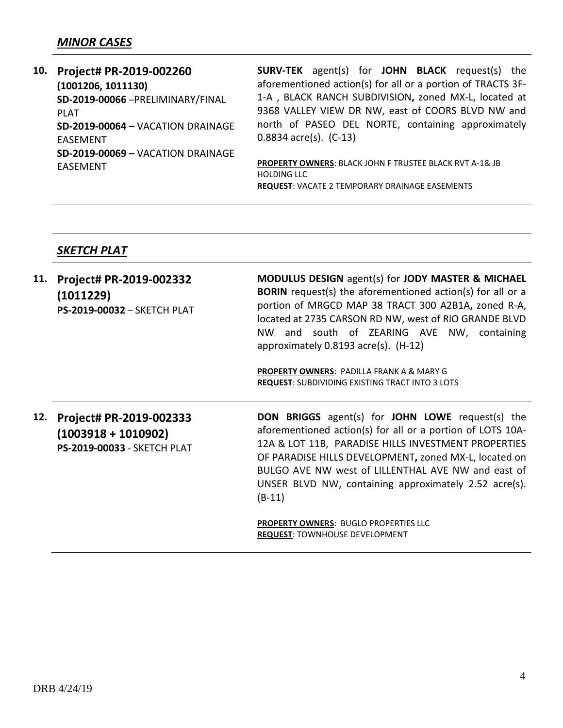## *MINOR CASES*

| 10. | Project# PR-2019-002260           | <b>SURV-TEK</b> agent(s) for <b>JOHN BLACK</b> request(s) the      |  |  |  |
|-----|-----------------------------------|--------------------------------------------------------------------|--|--|--|
|     | (1001206, 1011130)                | aforementioned action(s) for all or a portion of TRACTS 3F-        |  |  |  |
|     | SD-2019-00066-PRELIMINARY/FINAL   | 1-A, BLACK RANCH SUBDIVISION, zoned MX-L, located at               |  |  |  |
|     | PI AT                             | 9368 VALLEY VIEW DR NW, east of COORS BLVD NW and                  |  |  |  |
|     | SD-2019-00064 - VACATION DRAINAGE | north of PASEO DEL NORTE, containing approximately                 |  |  |  |
|     | <b>FASFMENT</b>                   | $0.8834$ acre(s). $(C-13)$                                         |  |  |  |
|     | SD-2019-00069 - VACATION DRAINAGE |                                                                    |  |  |  |
|     | <b>FASFMENT</b>                   | <b>PROPERTY OWNERS: BLACK JOHN F TRUSTEE BLACK RVT A-1&amp; JB</b> |  |  |  |
|     |                                   | <b>HOLDING LLC</b>                                                 |  |  |  |

**REQUEST**: VACATE 2 TEMPORARY DRAINAGE EASEMENTS

# *SKETCH PLAT*

| 11. | Project# PR-2019-002332<br>(1011229)<br><b>PS-2019-00032 - SKETCH PLAT</b>             | <b>MODULUS DESIGN</b> agent(s) for <b>JODY MASTER &amp; MICHAEL</b><br><b>BORIN</b> request(s) the aforementioned action(s) for all or a<br>portion of MRGCD MAP 38 TRACT 300 A2B1A, zoned R-A,<br>located at 2735 CARSON RD NW, west of RIO GRANDE BLVD<br>and south of ZEARING AVE NW, containing<br>NW<br>approximately $0.8193$ acre(s). (H-12)<br><b>PROPERTY OWNERS: PADILLA FRANK A &amp; MARY G</b><br><b>REQUEST: SUBDIVIDING EXISTING TRACT INTO 3 LOTS</b> |
|-----|----------------------------------------------------------------------------------------|-----------------------------------------------------------------------------------------------------------------------------------------------------------------------------------------------------------------------------------------------------------------------------------------------------------------------------------------------------------------------------------------------------------------------------------------------------------------------|
| 12. | Project# PR-2019-002333<br>$(1003918 + 1010902)$<br><b>PS-2019-00033 - SKETCH PLAT</b> | <b>DON BRIGGS</b> agent(s) for JOHN LOWE request(s) the<br>aforementioned action(s) for all or a portion of LOTS 10A-<br>12A & LOT 11B, PARADISE HILLS INVESTMENT PROPERTIES<br>OF PARADISE HILLS DEVELOPMENT, zoned MX-L, located on<br>BULGO AVE NW west of LILLENTHAL AVE NW and east of<br>UNSER BLVD NW, containing approximately 2.52 acre(s).<br>$(B-11)$<br><b>PROPERTY OWNERS: BUGLO PROPERTIES LLC</b><br><b>REQUEST: TOWNHOUSE DEVELOPMENT</b>             |